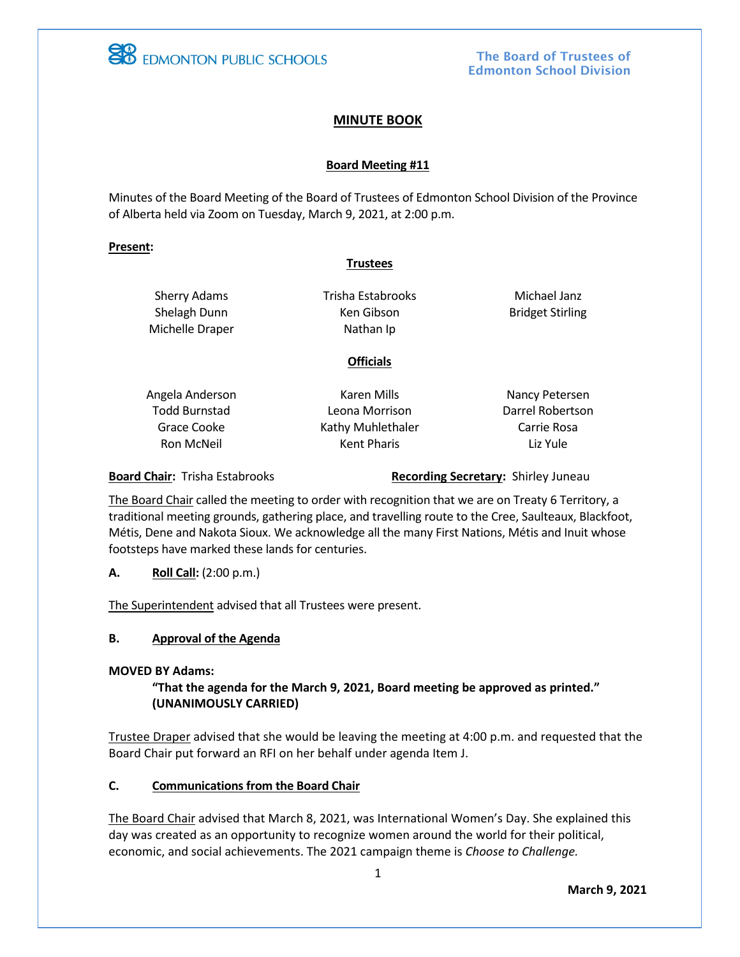

# **MINUTE BOOK**

## **Board Meeting #11**

Minutes of the Board Meeting of the Board of Trustees of Edmonton School Division of the Province of Alberta held via Zoom on Tuesday, March 9, 2021, at 2:00 p.m.

#### **Present:**

## **Trustees**

Sherry Adams Shelagh Dunn Michelle Draper Trisha Estabrooks Ken Gibson Nathan Ip

Michael Janz Bridget Stirling

# **Officials**

- Angela Anderson Todd Burnstad Grace Cooke Ron McNeil
- Karen Mills Leona Morrison Kathy Muhlethaler Kent Pharis
- Nancy Petersen Darrel Robertson Carrie Rosa Liz Yule

**Board Chair:** Trisha Estabrooks **Recording Secretary:** Shirley Juneau

The Board Chair called the meeting to order with recognition that we are on Treaty 6 Territory, a traditional meeting grounds, gathering place, and travelling route to the Cree, Saulteaux, Blackfoot, Métis, Dene and Nakota Sioux. We acknowledge all the many First Nations, Métis and Inuit whose footsteps have marked these lands for centuries.

**A. Roll Call:** (2:00 p.m.)

The Superintendent advised that all Trustees were present.

## **B. Approval of the Agenda**

#### **MOVED BY Adams:**

# **"That the agenda for the March 9, 2021, Board meeting be approved as printed." (UNANIMOUSLY CARRIED)**

Trustee Draper advised that she would be leaving the meeting at 4:00 p.m. and requested that the Board Chair put forward an RFI on her behalf under agenda Item J.

## **C. Communications from the Board Chair**

The Board Chair advised that March 8, 2021, was International Women's Day. She explained this day was created as an opportunity to recognize women around the world for their political, economic, and social achievements. The 2021 campaign theme is *Choose to Challenge.*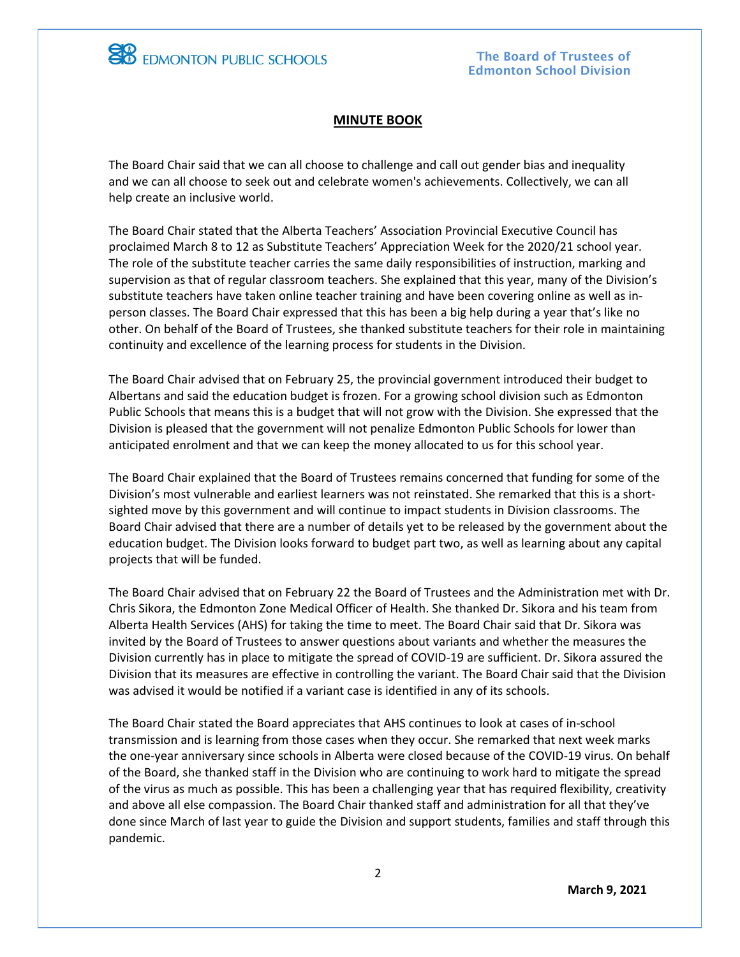

**EB** EDMONTON PUBLIC SCHOOLS

#### **MINUTE BOOK**

The Board Chair said that we can all choose to challenge and call out gender bias and inequality and we can all choose to seek out and celebrate women's achievements. Collectively, we can all help create an inclusive world.

The Board Chair stated that the Alberta Teachers' Association Provincial Executive Council has proclaimed March 8 to 12 as Substitute Teachers' Appreciation Week for the 2020/21 school year. The role of the substitute teacher carries the same daily responsibilities of instruction, marking and supervision as that of regular classroom teachers. She explained that this year, many of the Division's substitute teachers have taken online teacher training and have been covering online as well as inperson classes. The Board Chair expressed that this has been a big help during a year that's like no other. On behalf of the Board of Trustees, she thanked substitute teachers for their role in maintaining continuity and excellence of the learning process for students in the Division.

The Board Chair advised that on February 25, the provincial government introduced their budget to Albertans and said the education budget is frozen. For a growing school division such as Edmonton Public Schools that means this is a budget that will not grow with the Division. She expressed that the Division is pleased that the government will not penalize Edmonton Public Schools for lower than anticipated enrolment and that we can keep the money allocated to us for this school year.

The Board Chair explained that the Board of Trustees remains concerned that funding for some of the Division's most vulnerable and earliest learners was not reinstated. She remarked that this is a shortsighted move by this government and will continue to impact students in Division classrooms. The Board Chair advised that there are a number of details yet to be released by the government about the education budget. The Division looks forward to budget part two, as well as learning about any capital projects that will be funded.

The Board Chair advised that on February 22 the Board of Trustees and the Administration met with Dr. Chris Sikora, the Edmonton Zone Medical Officer of Health. She thanked Dr. Sikora and his team from Alberta Health Services (AHS) for taking the time to meet. The Board Chair said that Dr. Sikora was invited by the Board of Trustees to answer questions about variants and whether the measures the Division currently has in place to mitigate the spread of COVID-19 are sufficient. Dr. Sikora assured the Division that its measures are effective in controlling the variant. The Board Chair said that the Division was advised it would be notified if a variant case is identified in any of its schools.

The Board Chair stated the Board appreciates that AHS continues to look at cases of in-school transmission and is learning from those cases when they occur. She remarked that next week marks the one-year anniversary since schools in Alberta were closed because of the COVID-19 virus. On behalf of the Board, she thanked staff in the Division who are continuing to work hard to mitigate the spread of the virus as much as possible. This has been a challenging year that has required flexibility, creativity and above all else compassion. The Board Chair thanked staff and administration for all that they've done since March of last year to guide the Division and support students, families and staff through this pandemic.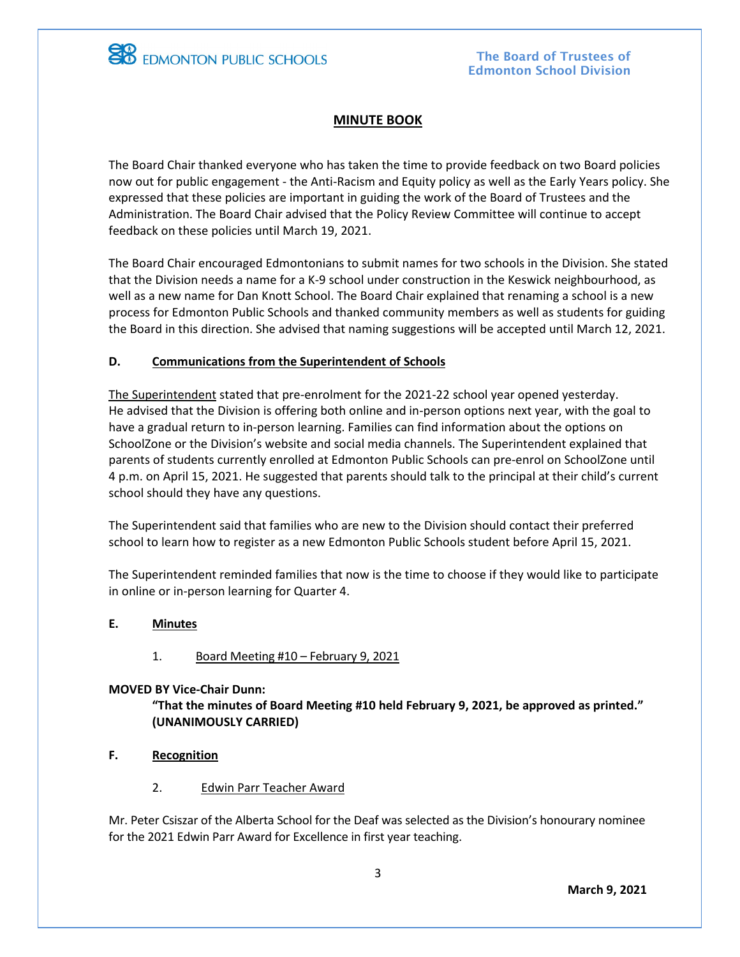

**EB** EDMONTON PUBLIC SCHOOLS

# **MINUTE BOOK**

The Board Chair thanked everyone who has taken the time to provide feedback on two Board policies now out for public engagement - the Anti-Racism and Equity policy as well as the Early Years policy. She expressed that these policies are important in guiding the work of the Board of Trustees and the Administration. The Board Chair advised that the Policy Review Committee will continue to accept feedback on these policies until March 19, 2021.

The Board Chair encouraged Edmontonians to submit names for two schools in the Division. She stated that the Division needs a name for a K-9 school under construction in the Keswick neighbourhood, as well as a new name for Dan Knott School. The Board Chair explained that renaming a school is a new process for Edmonton Public Schools and thanked community members as well as students for guiding the Board in this direction. She advised that naming suggestions will be accepted until March 12, 2021.

# **D. Communications from the Superintendent of Schools**

The Superintendent stated that pre-enrolment for the 2021-22 school year opened yesterday. He advised that the Division is offering both online and in-person options next year, with the goal to have a gradual return to in-person learning. Families can find information about the options on SchoolZone or the Division's website and social media channels. The Superintendent explained that parents of students currently enrolled at Edmonton Public Schools can pre-enrol on SchoolZone until 4 p.m. on April 15, 2021. He suggested that parents should talk to the principal at their child's current school should they have any questions.

The Superintendent said that families who are new to the Division should contact their preferred school to learn how to register as a new Edmonton Public Schools student before April 15, 2021.

The Superintendent reminded families that now is the time to choose if they would like to participate in online or in-person learning for Quarter 4.

## **E. Minutes**

## 1. Board Meeting #10 – February 9, 2021

#### **MOVED BY Vice-Chair Dunn:**

**"That the minutes of Board Meeting #10 held February 9, 2021, be approved as printed." (UNANIMOUSLY CARRIED)**

- **F. Recognition**
	- 2. Edwin Parr Teacher Award

Mr. Peter Csiszar of the Alberta School for the Deaf was selected as the Division's honourary nominee for the 2021 Edwin Parr Award for Excellence in first year teaching.

**March 9, 2021**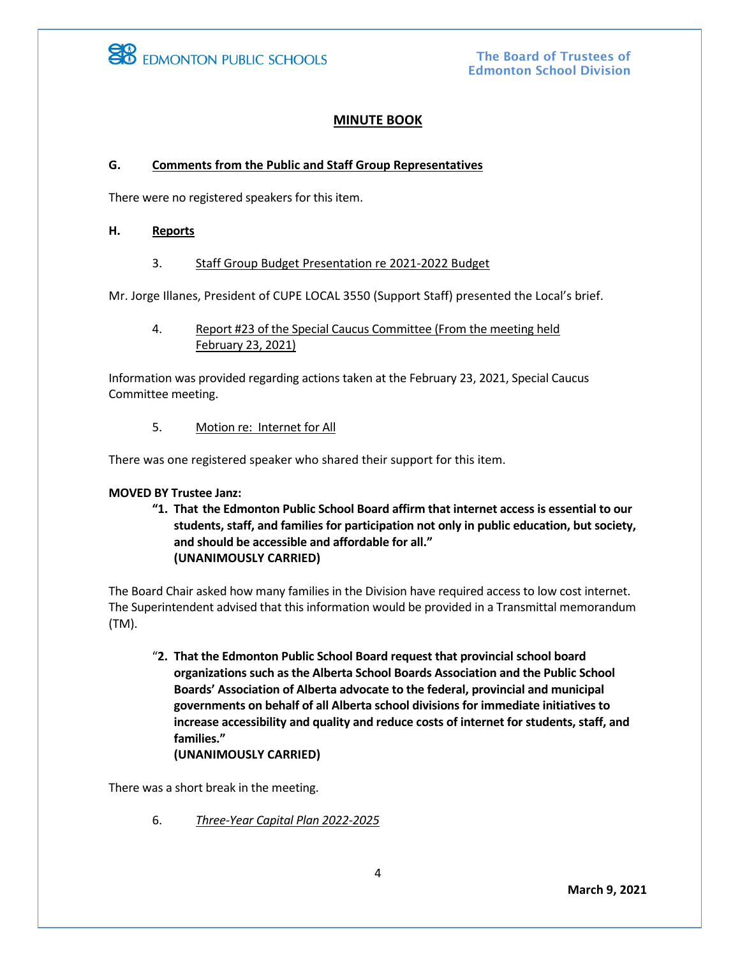

The Board of Trustees of Edmonton School Division

## **MINUTE BOOK**

#### **G. Comments from the Public and Staff Group Representatives**

There were no registered speakers for this item.

#### **H. Reports**

#### 3. Staff Group Budget Presentation re 2021-2022 Budget

Mr. Jorge Illanes, President of CUPE LOCAL 3550 (Support Staff) presented the Local's brief.

4. Report #23 of the Special Caucus Committee (From the meeting held February 23, 2021)

Information was provided regarding actions taken at the February 23, 2021, Special Caucus Committee meeting.

5. Motion re: Internet for All

There was one registered speaker who shared their support for this item.

#### **MOVED BY Trustee Janz:**

**"1. That the Edmonton Public School Board affirm that internet access is essential to our students, staff, and families for participation not only in public education, but society, and should be accessible and affordable for all." (UNANIMOUSLY CARRIED)**

The Board Chair asked how many families in the Division have required access to low cost internet. The Superintendent advised that this information would be provided in a Transmittal memorandum (TM).

"**2. That the Edmonton Public School Board request that provincial school board organizations such as the Alberta School Boards Association and the Public School Boards' Association of Alberta advocate to the federal, provincial and municipal governments on behalf of all Alberta school divisions for immediate initiatives to increase accessibility and quality and reduce costs of internet for students, staff, and families." (UNANIMOUSLY CARRIED)**

There was a short break in the meeting.

6. *Three-Year Capital Plan 2022-2025*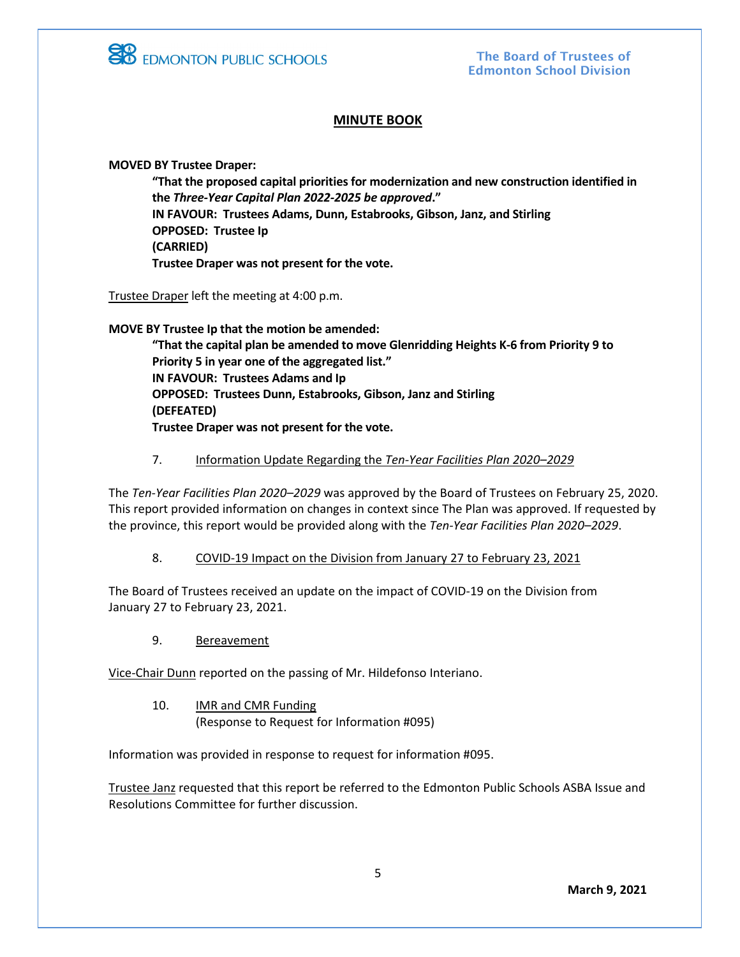

# **MINUTE BOOK**

**MOVED BY Trustee Draper:**

**"That the proposed capital priorities for modernization and new construction identified in the** *Three-Year Capital Plan 2022-2025 be approved***." IN FAVOUR: Trustees Adams, Dunn, Estabrooks, Gibson, Janz, and Stirling OPPOSED: Trustee Ip (CARRIED) Trustee Draper was not present for the vote.**

Trustee Draper left the meeting at 4:00 p.m.

**MOVE BY Trustee Ip that the motion be amended:**

**"That the capital plan be amended to move Glenridding Heights K-6 from Priority 9 to Priority 5 in year one of the aggregated list." IN FAVOUR: Trustees Adams and Ip OPPOSED: Trustees Dunn, Estabrooks, Gibson, Janz and Stirling (DEFEATED) Trustee Draper was not present for the vote.** 

7. Information Update Regarding the *Ten-Year Facilities Plan 2020–2029*

The *Ten-Year Facilities Plan 2020–2029* was approved by the Board of Trustees on February 25, 2020. This report provided information on changes in context since The Plan was approved. If requested by the province, this report would be provided along with the *Ten-Year Facilities Plan 2020–2029*.

## 8. COVID-19 Impact on the Division from January 27 to February 23, 2021

The Board of Trustees received an update on the impact of COVID-19 on the Division from January 27 to February 23, 2021.

9. Bereavement

Vice-Chair Dunn reported on the passing of Mr. Hildefonso Interiano.

10. IMR and CMR Funding (Response to Request for Information #095)

Information was provided in response to request for information #095.

Trustee Janz requested that this report be referred to the Edmonton Public Schools ASBA Issue and Resolutions Committee for further discussion.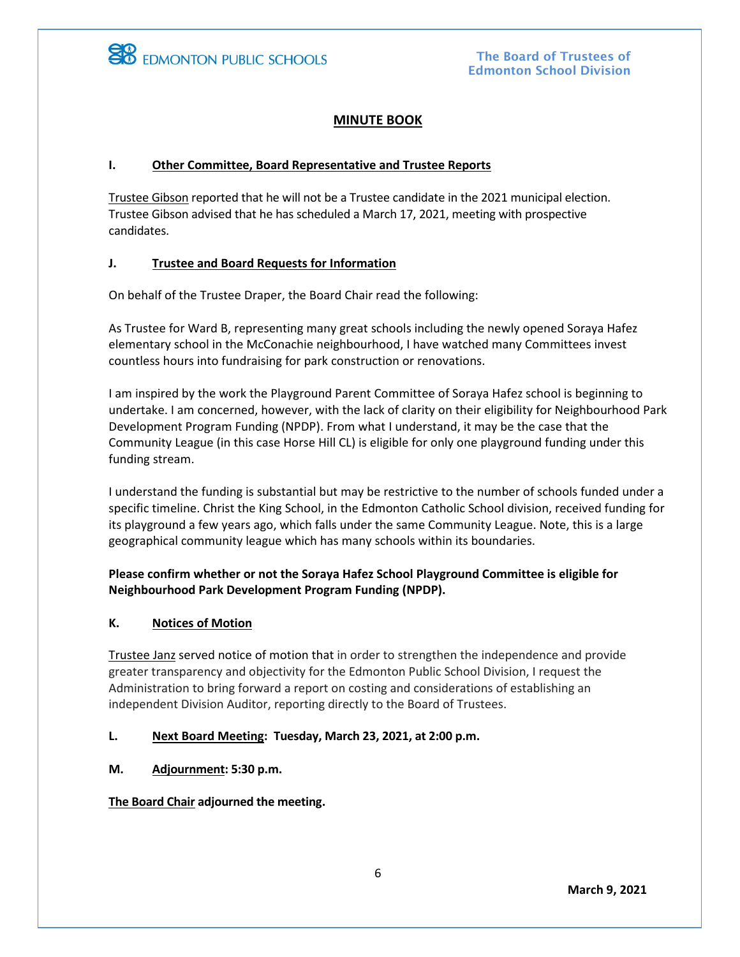

# **MINUTE BOOK**

## **I. Other Committee, Board Representative and Trustee Reports**

Trustee Gibson reported that he will not be a Trustee candidate in the 2021 municipal election. Trustee Gibson advised that he has scheduled a March 17, 2021, meeting with prospective candidates.

## **J. Trustee and Board Requests for Information**

On behalf of the Trustee Draper, the Board Chair read the following:

As Trustee for Ward B, representing many great schools including the newly opened Soraya Hafez elementary school in the McConachie neighbourhood, I have watched many Committees invest countless hours into fundraising for park construction or renovations.

I am inspired by the work the Playground Parent Committee of Soraya Hafez school is beginning to undertake. I am concerned, however, with the lack of clarity on their eligibility for Neighbourhood Park Development Program Funding (NPDP). From what I understand, it may be the case that the Community League (in this case Horse Hill CL) is eligible for only one playground funding under this funding stream.

I understand the funding is substantial but may be restrictive to the number of schools funded under a specific timeline. Christ the King School, in the Edmonton Catholic School division, received funding for its playground a few years ago, which falls under the same Community League. Note, this is a large geographical community league which has many schools within its boundaries.

# **Please confirm whether or not the Soraya Hafez School Playground Committee is eligible for Neighbourhood Park Development Program Funding (NPDP).**

## **K. Notices of Motion**

Trustee Janz served notice of motion that in order to strengthen the independence and provide greater transparency and objectivity for the Edmonton Public School Division, I request the Administration to bring forward a report on costing and considerations of establishing an independent Division Auditor, reporting directly to the Board of Trustees.

## **L. Next Board Meeting: Tuesday, March 23, 2021, at 2:00 p.m.**

**M. Adjournment: 5:30 p.m.**

**The Board Chair adjourned the meeting.**